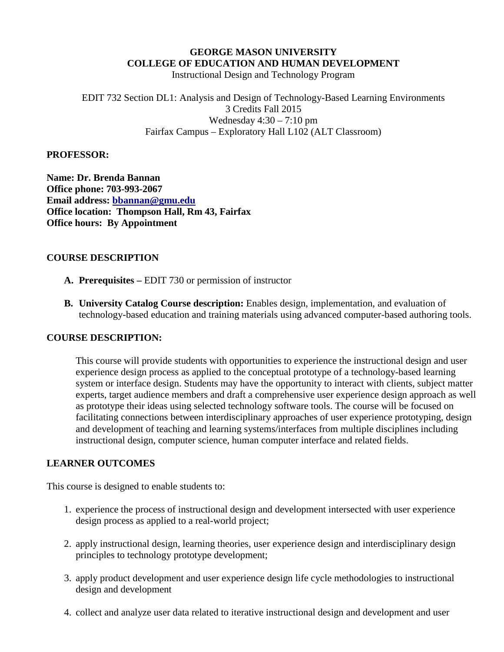#### **GEORGE MASON UNIVERSITY COLLEGE OF EDUCATION AND HUMAN DEVELOPMENT**

Instructional Design and Technology Program

EDIT 732 Section DL1: Analysis and Design of Technology-Based Learning Environments 3 Credits Fall 2015 Wednesday  $4:30 - 7:10$  pm Fairfax Campus – Exploratory Hall L102 (ALT Classroom)

#### **PROFESSOR:**

**Name: Dr. Brenda Bannan Office phone: 703-993-2067 Email address: [bbannan@gmu.edu](mailto:bbannan@gmu.edu) Office location: Thompson Hall, Rm 43, Fairfax Office hours: By Appointment**

#### **COURSE DESCRIPTION**

- **A. Prerequisites –** EDIT 730 or permission of instructor
- **B. University Catalog Course description:** Enables design, implementation, and evaluation of technology-based education and training materials using advanced computer-based authoring tools.

#### **COURSE DESCRIPTION:**

This course will provide students with opportunities to experience the instructional design and user experience design process as applied to the conceptual prototype of a technology-based learning system or interface design. Students may have the opportunity to interact with clients, subject matter experts, target audience members and draft a comprehensive user experience design approach as well as prototype their ideas using selected technology software tools. The course will be focused on facilitating connections between interdisciplinary approaches of user experience prototyping, design and development of teaching and learning systems/interfaces from multiple disciplines including instructional design, computer science, human computer interface and related fields.

#### **LEARNER OUTCOMES**

This course is designed to enable students to:

- 1. experience the process of instructional design and development intersected with user experience design process as applied to a real-world project;
- 2. apply instructional design, learning theories, user experience design and interdisciplinary design principles to technology prototype development;
- 3. apply product development and user experience design life cycle methodologies to instructional design and development
- 4. collect and analyze user data related to iterative instructional design and development and user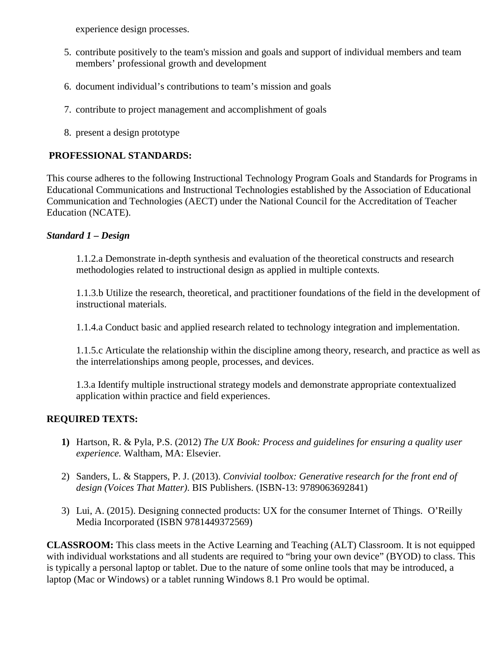experience design processes.

- 5. contribute positively to the team's mission and goals and support of individual members and team members' professional growth and development
- 6. document individual's contributions to team's mission and goals
- 7. contribute to project management and accomplishment of goals
- 8. present a design prototype

## **PROFESSIONAL STANDARDS:**

This course adheres to the following Instructional Technology Program Goals and Standards for Programs in Educational Communications and Instructional Technologies established by the Association of Educational Communication and Technologies (AECT) under the National Council for the Accreditation of Teacher Education (NCATE).

## *Standard 1 – Design*

1.1.2.a Demonstrate in-depth synthesis and evaluation of the theoretical constructs and research methodologies related to instructional design as applied in multiple contexts.

1.1.3.b Utilize the research, theoretical, and practitioner foundations of the field in the development of instructional materials.

1.1.4.a Conduct basic and applied research related to technology integration and implementation.

1.1.5.c Articulate the relationship within the discipline among theory, research, and practice as well as the interrelationships among people, processes, and devices.

1.3.a Identify multiple instructional strategy models and demonstrate appropriate contextualized application within practice and field experiences.

## **REQUIRED TEXTS:**

- **1)** Hartson, R. & Pyla, P.S. (2012) *The UX Book: Process and guidelines for ensuring a quality user experience.* Waltham, MA: Elsevier.
- 2) Sanders, L. & Stappers, P. J. (2013). *Convivial toolbox: Generative research for the front end of design (Voices That Matter)*. BIS Publishers. (ISBN-13: 9789063692841)
- 3) Lui, A. (2015). Designing connected products: UX for the consumer Internet of Things. O'Reilly Media Incorporated (ISBN 9781449372569)

**CLASSROOM:** This class meets in the Active Learning and Teaching (ALT) Classroom. It is not equipped with individual workstations and all students are required to "bring your own device" (BYOD) to class. This is typically a personal laptop or tablet. Due to the nature of some online tools that may be introduced, a laptop (Mac or Windows) or a tablet running Windows 8.1 Pro would be optimal.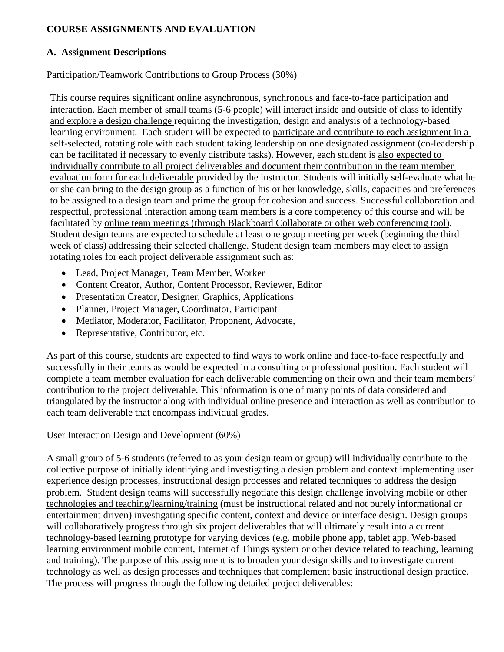## **COURSE ASSIGNMENTS AND EVALUATION**

## **A. Assignment Descriptions**

Participation/Teamwork Contributions to Group Process (30%)

This course requires significant online asynchronous, synchronous and face-to-face participation and interaction. Each member of small teams (5-6 people) will interact inside and outside of class to identify and explore a design challenge requiring the investigation, design and analysis of a technology-based learning environment. Each student will be expected to participate and contribute to each assignment in a self-selected, rotating role with each student taking leadership on one designated assignment (co-leadership can be facilitated if necessary to evenly distribute tasks). However, each student is also expected to individually contribute to all project deliverables and document their contribution in the team member evaluation form for each deliverable provided by the instructor. Students will initially self-evaluate what he or she can bring to the design group as a function of his or her knowledge, skills, capacities and preferences to be assigned to a design team and prime the group for cohesion and success. Successful collaboration and respectful, professional interaction among team members is a core competency of this course and will be facilitated by online team meetings (through Blackboard Collaborate or other web conferencing tool). Student design teams are expected to schedule at least one group meeting per week (beginning the third week of class) addressing their selected challenge. Student design team members may elect to assign rotating roles for each project deliverable assignment such as:

- Lead, Project Manager, Team Member, Worker
- Content Creator, Author, Content Processor, Reviewer, Editor
- Presentation Creator, Designer, Graphics, Applications
- Planner, Project Manager, Coordinator, Participant
- Mediator, Moderator, Facilitator, Proponent, Advocate,
- Representative, Contributor, etc.

As part of this course, students are expected to find ways to work online and face-to-face respectfully and successfully in their teams as would be expected in a consulting or professional position. Each student will complete a team member evaluation for each deliverable commenting on their own and their team members' contribution to the project deliverable. This information is one of many points of data considered and triangulated by the instructor along with individual online presence and interaction as well as contribution to each team deliverable that encompass individual grades.

User Interaction Design and Development (60%)

A small group of 5-6 students (referred to as your design team or group) will individually contribute to the collective purpose of initially identifying and investigating a design problem and context implementing user experience design processes, instructional design processes and related techniques to address the design problem. Student design teams will successfully negotiate this design challenge involving mobile or other technologies and teaching/learning/training (must be instructional related and not purely informational or entertainment driven) investigating specific content, context and device or interface design. Design groups will collaboratively progress through six project deliverables that will ultimately result into a current technology-based learning prototype for varying devices (e.g. mobile phone app, tablet app, Web-based learning environment mobile content, Internet of Things system or other device related to teaching, learning and training). The purpose of this assignment is to broaden your design skills and to investigate current technology as well as design processes and techniques that complement basic instructional design practice. The process will progress through the following detailed project deliverables: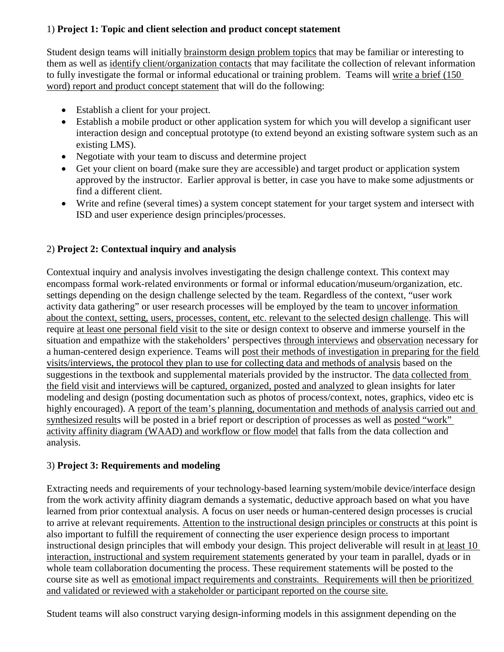## 1) **Project 1: Topic and client selection and product concept statement**

Student design teams will initially brainstorm design problem topics that may be familiar or interesting to them as well as identify client/organization contacts that may facilitate the collection of relevant information to fully investigate the formal or informal educational or training problem. Teams will write a brief (150 word) report and product concept statement that will do the following:

- Establish a client for your project.
- Establish a mobile product or other application system for which you will develop a significant user interaction design and conceptual prototype (to extend beyond an existing software system such as an existing LMS).
- Negotiate with your team to discuss and determine project
- Get your client on board (make sure they are accessible) and target product or application system approved by the instructor. Earlier approval is better, in case you have to make some adjustments or find a different client.
- Write and refine (several times) a system concept statement for your target system and intersect with ISD and user experience design principles/processes.

# 2) **Project 2: Contextual inquiry and analysis**

Contextual inquiry and analysis involves investigating the design challenge context. This context may encompass formal work-related environments or formal or informal education/museum/organization, etc. settings depending on the design challenge selected by the team. Regardless of the context, "user work activity data gathering" or user research processes will be employed by the team to uncover information about the context, setting, users, processes, content, etc. relevant to the selected design challenge. This will require at least one personal field visit to the site or design context to observe and immerse yourself in the situation and empathize with the stakeholders' perspectives through interviews and observation necessary for a human-centered design experience. Teams will post their methods of investigation in preparing for the field visits/interviews, the protocol they plan to use for collecting data and methods of analysis based on the suggestions in the textbook and supplemental materials provided by the instructor. The data collected from the field visit and interviews will be captured, organized, posted and analyzed to glean insights for later modeling and design (posting documentation such as photos of process/context, notes, graphics, video etc is highly encouraged). A report of the team's planning, documentation and methods of analysis carried out and synthesized results will be posted in a brief report or description of processes as well as posted "work" activity affinity diagram (WAAD) and workflow or flow model that falls from the data collection and analysis.

## 3) **Project 3: Requirements and modeling**

Extracting needs and requirements of your technology-based learning system/mobile device/interface design from the work activity affinity diagram demands a systematic, deductive approach based on what you have learned from prior contextual analysis. A focus on user needs or human-centered design processes is crucial to arrive at relevant requirements. Attention to the instructional design principles or constructs at this point is also important to fulfill the requirement of connecting the user experience design process to important instructional design principles that will embody your design. This project deliverable will result in at least 10 interaction, instructional and system requirement statements generated by your team in parallel, dyads or in whole team collaboration documenting the process. These requirement statements will be posted to the course site as well as emotional impact requirements and constraints. Requirements will then be prioritized and validated or reviewed with a stakeholder or participant reported on the course site.

Student teams will also construct varying design-informing models in this assignment depending on the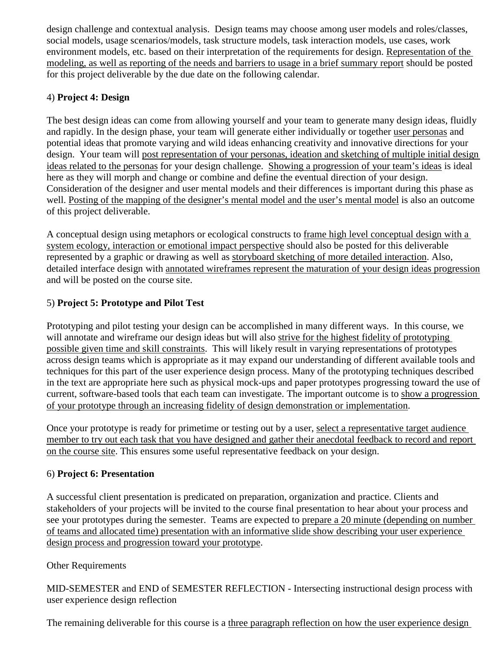design challenge and contextual analysis. Design teams may choose among user models and roles/classes, social models, usage scenarios/models, task structure models, task interaction models, use cases, work environment models, etc. based on their interpretation of the requirements for design. Representation of the modeling, as well as reporting of the needs and barriers to usage in a brief summary report should be posted for this project deliverable by the due date on the following calendar.

# 4) **Project 4: Design**

The best design ideas can come from allowing yourself and your team to generate many design ideas, fluidly and rapidly. In the design phase, your team will generate either individually or together user personas and potential ideas that promote varying and wild ideas enhancing creativity and innovative directions for your design. Your team will post representation of your personas, ideation and sketching of multiple initial design ideas related to the personas for your design challenge. Showing a progression of your team's ideas is ideal here as they will morph and change or combine and define the eventual direction of your design. Consideration of the designer and user mental models and their differences is important during this phase as well. Posting of the mapping of the designer's mental model and the user's mental model is also an outcome of this project deliverable.

A conceptual design using metaphors or ecological constructs to frame high level conceptual design with a system ecology, interaction or emotional impact perspective should also be posted for this deliverable represented by a graphic or drawing as well as storyboard sketching of more detailed interaction. Also, detailed interface design with annotated wireframes represent the maturation of your design ideas progression and will be posted on the course site.

# 5) **Project 5: Prototype and Pilot Test**

Prototyping and pilot testing your design can be accomplished in many different ways. In this course, we will annotate and wireframe our design ideas but will also strive for the highest fidelity of prototyping possible given time and skill constraints. This will likely result in varying representations of prototypes across design teams which is appropriate as it may expand our understanding of different available tools and techniques for this part of the user experience design process. Many of the prototyping techniques described in the text are appropriate here such as physical mock-ups and paper prototypes progressing toward the use of current, software-based tools that each team can investigate. The important outcome is to show a progression of your prototype through an increasing fidelity of design demonstration or implementation.

Once your prototype is ready for primetime or testing out by a user, select a representative target audience member to try out each task that you have designed and gather their anecdotal feedback to record and report on the course site. This ensures some useful representative feedback on your design.

# 6) **Project 6: Presentation**

A successful client presentation is predicated on preparation, organization and practice. Clients and stakeholders of your projects will be invited to the course final presentation to hear about your process and see your prototypes during the semester. Teams are expected to prepare a 20 minute (depending on number of teams and allocated time) presentation with an informative slide show describing your user experience design process and progression toward your prototype.

# Other Requirements

MID-SEMESTER and END of SEMESTER REFLECTION - Intersecting instructional design process with user experience design reflection

The remaining deliverable for this course is a three paragraph reflection on how the user experience design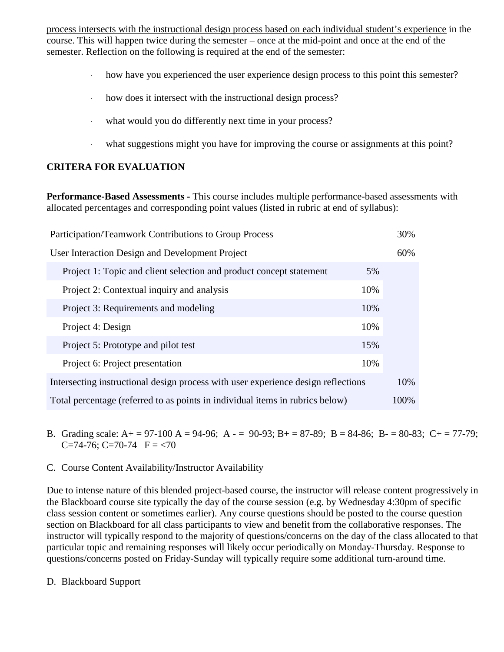process intersects with the instructional design process based on each individual student's experience in the course. This will happen twice during the semester – once at the mid-point and once at the end of the semester. Reflection on the following is required at the end of the semester:

- how have you experienced the user experience design process to this point this semester?
- how does it intersect with the instructional design process?
- what would you do differently next time in your process?
- what suggestions might you have for improving the course or assignments at this point?

## **CRITERA FOR EVALUATION**

**Performance-Based Assessments -** This course includes multiple performance-based assessments with allocated percentages and corresponding point values (listed in rubric at end of syllabus):

| <b>Participation/Teamwork Contributions to Group Process</b>                      | 30%  |
|-----------------------------------------------------------------------------------|------|
| User Interaction Design and Development Project                                   | 60%  |
| Project 1: Topic and client selection and product concept statement<br>5%         |      |
| 10%<br>Project 2: Contextual inquiry and analysis                                 |      |
| 10%<br>Project 3: Requirements and modeling                                       |      |
| 10%<br>Project 4: Design                                                          |      |
| Project 5: Prototype and pilot test<br>15%                                        |      |
| 10%<br>Project 6: Project presentation                                            |      |
| Intersecting instructional design process with user experience design reflections | 10%  |
| Total percentage (referred to as points in individual items in rubrics below)     | 100% |

- B. Grading scale: A + = 97-100 A = 94-96; A = 90-93; B + = 87-89; B = 84-86; B = 80-83; C + = 77-79; C=74-76; C=70-74  $F = 70$
- C. Course Content Availability/Instructor Availability

Due to intense nature of this blended project-based course, the instructor will release content progressively in the Blackboard course site typically the day of the course session (e.g. by Wednesday 4:30pm of specific class session content or sometimes earlier). Any course questions should be posted to the course question section on Blackboard for all class participants to view and benefit from the collaborative responses. The instructor will typically respond to the majority of questions/concerns on the day of the class allocated to that particular topic and remaining responses will likely occur periodically on Monday-Thursday. Response to questions/concerns posted on Friday-Sunday will typically require some additional turn-around time.

D. Blackboard Support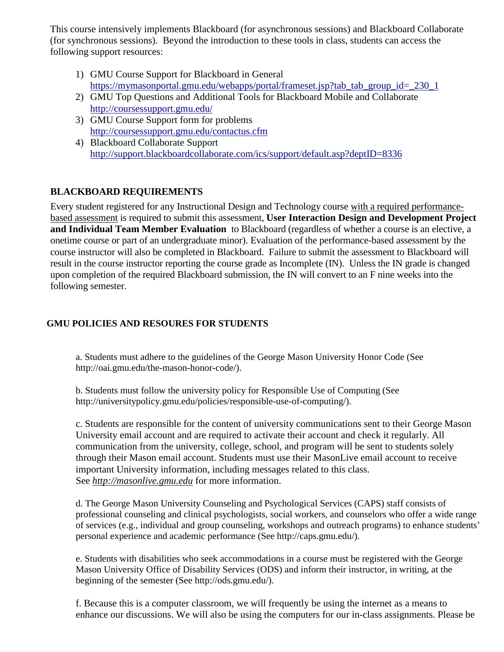This course intensively implements Blackboard (for asynchronous sessions) and Blackboard Collaborate (for synchronous sessions). Beyond the introduction to these tools in class, students can access the following support resources:

- 1) GMU Course Support for Blackboard in General [https://mymasonportal.gmu.edu/webapps/portal/frameset.jsp?tab\\_tab\\_group\\_id=\\_230\\_1](https://mymasonportal.gmu.edu/webapps/portal/frameset.jsp?tab_tab_group_id=_230_1)
- 2) GMU Top Questions and Additional Tools for Blackboard Mobile and Collaborate <http://coursessupport.gmu.edu/>
- 3) GMU Course Support form for problems <http://coursessupport.gmu.edu/contactus.cfm>
- 4) Blackboard Collaborate Support <http://support.blackboardcollaborate.com/ics/support/default.asp?deptID=8336>

# **BLACKBOARD REQUIREMENTS**

Every student registered for any Instructional Design and Technology course with a required performancebased assessment is required to submit this assessment, **User Interaction Design and Development Project and Individual Team Member Evaluation** to Blackboard (regardless of whether a course is an elective, a onetime course or part of an undergraduate minor). Evaluation of the performance-based assessment by the course instructor will also be completed in Blackboard. Failure to submit the assessment to Blackboard will result in the course instructor reporting the course grade as Incomplete (IN). Unless the IN grade is changed upon completion of the required Blackboard submission, the IN will convert to an F nine weeks into the following semester.

# **GMU POLICIES AND RESOURES FOR STUDENTS**

a. Students must adhere to the guidelines of the George Mason University Honor Code (See http://oai.gmu.edu/the-mason-honor-code/).

b. Students must follow the university policy for Responsible Use of Computing (See http://universitypolicy.gmu.edu/policies/responsible-use-of-computing/).

c. Students are responsible for the content of university communications sent to their George Mason University email account and are required to activate their account and check it regularly. All communication from the university, college, school, and program will be sent to students solely through their Mason email account. Students must use their MasonLive email account to receive important University information, including messages related to this class. See *[http://masonlive.gmu.edu](http://masonlive.gmu.edu/)* for more information.

d. The George Mason University Counseling and Psychological Services (CAPS) staff consists of professional counseling and clinical psychologists, social workers, and counselors who offer a wide range of services (e.g., individual and group counseling, workshops and outreach programs) to enhance students' personal experience and academic performance (See http://caps.gmu.edu/).

e. Students with disabilities who seek accommodations in a course must be registered with the George Mason University Office of Disability Services (ODS) and inform their instructor, in writing, at the beginning of the semester (See http://ods.gmu.edu/).

f. Because this is a computer classroom, we will frequently be using the internet as a means to enhance our discussions. We will also be using the computers for our in-class assignments. Please be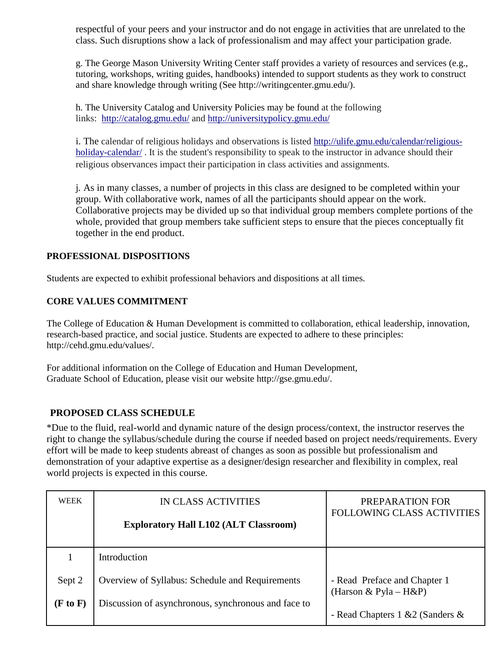respectful of your peers and your instructor and do not engage in activities that are unrelated to the class. Such disruptions show a lack of professionalism and may affect your participation grade.

g. The George Mason University Writing Center staff provides a variety of resources and services (e.g., tutoring, workshops, writing guides, handbooks) intended to support students as they work to construct and share knowledge through writing (See http://writingcenter.gmu.edu/).

h. The University Catalog and University Policies may be found at the following links: <http://catalog.gmu.edu/> and<http://universitypolicy.gmu.edu/>

i. The calendar of religious holidays and observations is listed [http://ulife.gmu.edu/calendar/religious](http://ulife.gmu.edu/calendar/religious-holiday-calendar/)[holiday-calendar/](http://ulife.gmu.edu/calendar/religious-holiday-calendar/). It is the student's responsibility to speak to the instructor in advance should their religious observances impact their participation in class activities and assignments.

j*.* As in many classes, a number of projects in this class are designed to be completed within your group. With collaborative work, names of all the participants should appear on the work. Collaborative projects may be divided up so that individual group members complete portions of the whole, provided that group members take sufficient steps to ensure that the pieces conceptually fit together in the end product.

## **PROFESSIONAL DISPOSITIONS**

Students are expected to exhibit professional behaviors and dispositions at all times.

#### **CORE VALUES COMMITMENT**

The College of Education & Human Development is committed to collaboration, ethical leadership, innovation, research-based practice, and social justice. Students are expected to adhere to these principles: http://cehd.gmu.edu/values/.

For additional information on the College of Education and Human Development, Graduate School of Education, please visit our website http://gse.gmu.edu/.

## **PROPOSED CLASS SCHEDULE**

\*Due to the fluid, real-world and dynamic nature of the design process/context, the instructor reserves the right to change the syllabus/schedule during the course if needed based on project needs/requirements. Every effort will be made to keep students abreast of changes as soon as possible but professionalism and demonstration of your adaptive expertise as a designer/design researcher and flexibility in complex, real world projects is expected in this course.

| <b>WEEK</b> | IN CLASS ACTIVITIES                                 | PREPARATION FOR<br><b>FOLLOWING CLASS ACTIVITIES</b> |
|-------------|-----------------------------------------------------|------------------------------------------------------|
|             | <b>Exploratory Hall L102 (ALT Classroom)</b>        |                                                      |
|             |                                                     |                                                      |
|             | Introduction                                        |                                                      |
|             |                                                     |                                                      |
| Sept 2      | Overview of Syllabus: Schedule and Requirements     | - Read Preface and Chapter 1                         |
|             |                                                     | (Harson & Pyla – H&P)                                |
| (F to F)    | Discussion of asynchronous, synchronous and face to |                                                      |
|             |                                                     | - Read Chapters 1 & 2 (Sanders &                     |
|             |                                                     |                                                      |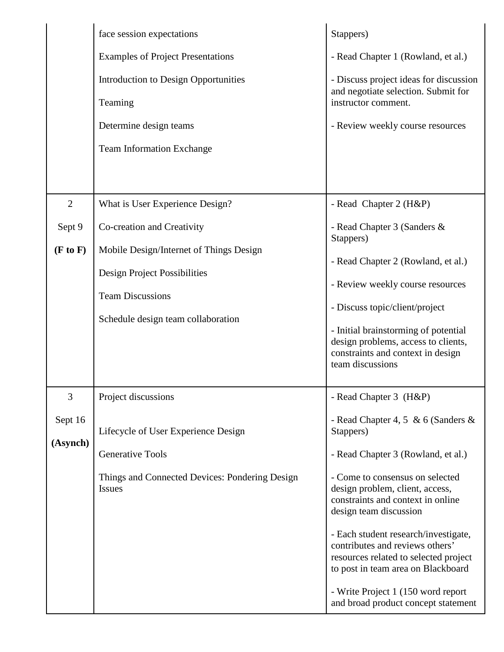|                | face session expectations                                                                                                                       | Stappers)                                                                                                                                                                                                                                        |
|----------------|-------------------------------------------------------------------------------------------------------------------------------------------------|--------------------------------------------------------------------------------------------------------------------------------------------------------------------------------------------------------------------------------------------------|
|                | <b>Examples of Project Presentations</b>                                                                                                        | - Read Chapter 1 (Rowland, et al.)                                                                                                                                                                                                               |
|                | <b>Introduction to Design Opportunities</b>                                                                                                     | - Discuss project ideas for discussion<br>and negotiate selection. Submit for                                                                                                                                                                    |
|                | Teaming                                                                                                                                         | instructor comment.                                                                                                                                                                                                                              |
|                | Determine design teams                                                                                                                          | - Review weekly course resources                                                                                                                                                                                                                 |
|                | <b>Team Information Exchange</b>                                                                                                                |                                                                                                                                                                                                                                                  |
|                |                                                                                                                                                 |                                                                                                                                                                                                                                                  |
| $\overline{2}$ | What is User Experience Design?                                                                                                                 | - Read Chapter 2 (H&P)                                                                                                                                                                                                                           |
| Sept 9         | Co-creation and Creativity                                                                                                                      | - Read Chapter 3 (Sanders &<br>Stappers)                                                                                                                                                                                                         |
| (F to F)       | Mobile Design/Internet of Things Design<br><b>Design Project Possibilities</b><br><b>Team Discussions</b><br>Schedule design team collaboration | - Read Chapter 2 (Rowland, et al.)<br>- Review weekly course resources<br>- Discuss topic/client/project<br>- Initial brainstorming of potential<br>design problems, access to clients,<br>constraints and context in design<br>team discussions |
| 3              | Project discussions                                                                                                                             | - Read Chapter 3 (H&P)                                                                                                                                                                                                                           |
| Sept 16        | Lifecycle of User Experience Design                                                                                                             | - Read Chapter 4, 5 & 6 (Sanders $\&$<br>Stappers)                                                                                                                                                                                               |
| (Asynch)       | <b>Generative Tools</b>                                                                                                                         | - Read Chapter 3 (Rowland, et al.)                                                                                                                                                                                                               |
|                | Things and Connected Devices: Pondering Design<br><b>Issues</b>                                                                                 | - Come to consensus on selected<br>design problem, client, access,<br>constraints and context in online<br>design team discussion                                                                                                                |
|                |                                                                                                                                                 | - Each student research/investigate,<br>contributes and reviews others'<br>resources related to selected project<br>to post in team area on Blackboard                                                                                           |
|                |                                                                                                                                                 | - Write Project 1 (150 word report<br>and broad product concept statement                                                                                                                                                                        |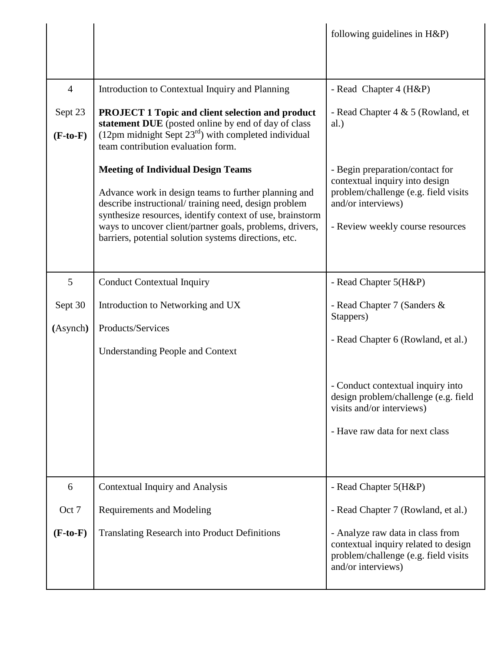|                           |                                                                                                                                                                                                                                                                                                                                             | following guidelines in H&P)                                                                                                                                        |
|---------------------------|---------------------------------------------------------------------------------------------------------------------------------------------------------------------------------------------------------------------------------------------------------------------------------------------------------------------------------------------|---------------------------------------------------------------------------------------------------------------------------------------------------------------------|
| $\overline{4}$<br>Sept 23 | Introduction to Contextual Inquiry and Planning<br><b>PROJECT 1 Topic and client selection and product</b><br>statement DUE (posted online by end of day of class                                                                                                                                                                           | - Read Chapter 4 (H&P)<br>- Read Chapter 4 & 5 (Rowland, et<br>al.)                                                                                                 |
| $(F-to-F)$                | $(12pm$ midnight Sept $23rd$ ) with completed individual<br>team contribution evaluation form.                                                                                                                                                                                                                                              |                                                                                                                                                                     |
|                           | <b>Meeting of Individual Design Teams</b><br>Advance work in design teams to further planning and<br>describe instructional/training need, design problem<br>synthesize resources, identify context of use, brainstorm<br>ways to uncover client/partner goals, problems, drivers,<br>barriers, potential solution systems directions, etc. | - Begin preparation/contact for<br>contextual inquiry into design<br>problem/challenge (e.g. field visits<br>and/or interviews)<br>- Review weekly course resources |
| 5                         | <b>Conduct Contextual Inquiry</b>                                                                                                                                                                                                                                                                                                           | - Read Chapter 5(H&P)                                                                                                                                               |
| Sept 30                   | Introduction to Networking and UX                                                                                                                                                                                                                                                                                                           | - Read Chapter 7 (Sanders &<br>Stappers)                                                                                                                            |
| (Asynch)                  | Products/Services<br><b>Understanding People and Context</b>                                                                                                                                                                                                                                                                                | - Read Chapter 6 (Rowland, et al.)                                                                                                                                  |
|                           |                                                                                                                                                                                                                                                                                                                                             | - Conduct contextual inquiry into<br>design problem/challenge (e.g. field<br>visits and/or interviews)<br>- Have raw data for next class                            |
|                           |                                                                                                                                                                                                                                                                                                                                             |                                                                                                                                                                     |
| 6                         | <b>Contextual Inquiry and Analysis</b>                                                                                                                                                                                                                                                                                                      | - Read Chapter 5(H&P)                                                                                                                                               |
| Oct 7                     | <b>Requirements and Modeling</b>                                                                                                                                                                                                                                                                                                            | - Read Chapter 7 (Rowland, et al.)                                                                                                                                  |
| $(F-to-F)$                | <b>Translating Research into Product Definitions</b>                                                                                                                                                                                                                                                                                        | - Analyze raw data in class from<br>contextual inquiry related to design<br>problem/challenge (e.g. field visits<br>and/or interviews)                              |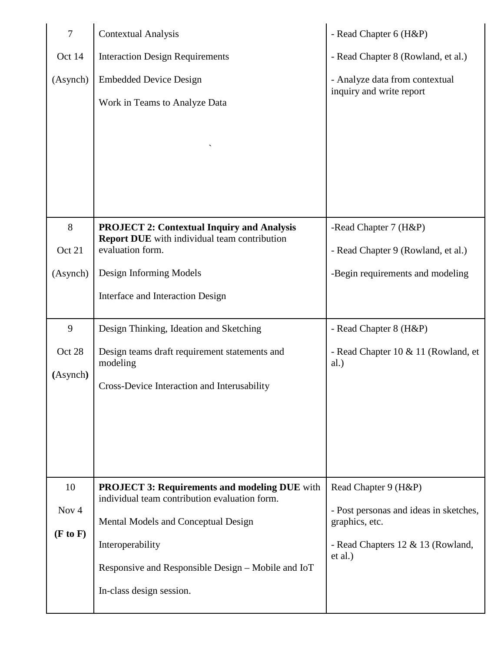| $\tau$   | <b>Contextual Analysis</b>                                                                            | - Read Chapter 6 (H&P)                                     |
|----------|-------------------------------------------------------------------------------------------------------|------------------------------------------------------------|
| Oct 14   | <b>Interaction Design Requirements</b>                                                                | - Read Chapter 8 (Rowland, et al.)                         |
| (Asynch) | <b>Embedded Device Design</b>                                                                         | - Analyze data from contextual<br>inquiry and write report |
|          | Work in Teams to Analyze Data                                                                         |                                                            |
|          |                                                                                                       |                                                            |
|          |                                                                                                       |                                                            |
|          |                                                                                                       |                                                            |
|          |                                                                                                       |                                                            |
| 8        | <b>PROJECT 2: Contextual Inquiry and Analysis</b>                                                     | -Read Chapter 7 (H&P)                                      |
| Oct 21   | <b>Report DUE</b> with individual team contribution<br>evaluation form.                               | - Read Chapter 9 (Rowland, et al.)                         |
| (Asynch) | Design Informing Models                                                                               | -Begin requirements and modeling                           |
|          | Interface and Interaction Design                                                                      |                                                            |
|          |                                                                                                       |                                                            |
| 9        | Design Thinking, Ideation and Sketching                                                               | - Read Chapter 8 (H&P)                                     |
| Oct 28   | Design teams draft requirement statements and<br>modeling                                             | - Read Chapter 10 & 11 (Rowland, et<br>al.)                |
| (Asynch) | Cross-Device Interaction and Interusability                                                           |                                                            |
|          |                                                                                                       |                                                            |
|          |                                                                                                       |                                                            |
|          |                                                                                                       |                                                            |
|          |                                                                                                       |                                                            |
| 10       | <b>PROJECT 3: Requirements and modeling DUE</b> with<br>individual team contribution evaluation form. | Read Chapter 9 (H&P)                                       |
| Nov $4$  | Mental Models and Conceptual Design                                                                   | - Post personas and ideas in sketches,<br>graphics, etc.   |
| (F to F) | Interoperability                                                                                      | - Read Chapters 12 & 13 (Rowland,                          |
|          | Responsive and Responsible Design – Mobile and IoT                                                    | et al.)                                                    |
|          |                                                                                                       |                                                            |
|          | In-class design session.                                                                              |                                                            |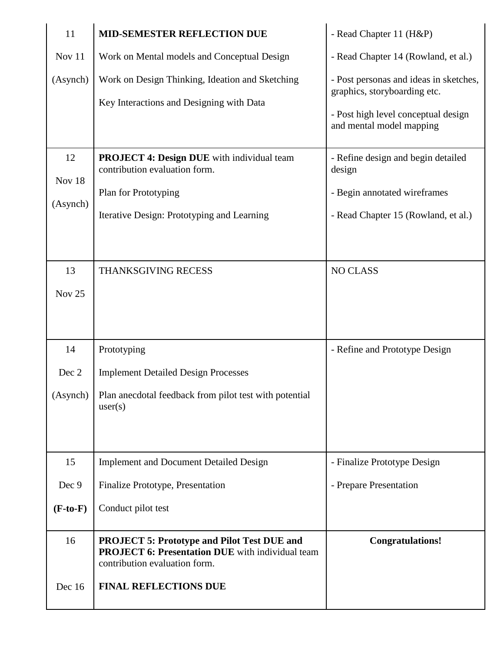| 11                 | <b>MID-SEMESTER REFLECTION DUE</b>                                                                                                             | - Read Chapter 11 (H&P)                                                                                                                   |
|--------------------|------------------------------------------------------------------------------------------------------------------------------------------------|-------------------------------------------------------------------------------------------------------------------------------------------|
| Nov 11             | Work on Mental models and Conceptual Design                                                                                                    | - Read Chapter 14 (Rowland, et al.)                                                                                                       |
| (Asynch)           | Work on Design Thinking, Ideation and Sketching<br>Key Interactions and Designing with Data                                                    | - Post personas and ideas in sketches,<br>graphics, storyboarding etc.<br>- Post high level conceptual design<br>and mental model mapping |
| 12                 | PROJECT 4: Design DUE with individual team<br>contribution evaluation form.                                                                    | - Refine design and begin detailed<br>design                                                                                              |
| Nov 18<br>(Asynch) | Plan for Prototyping<br>Iterative Design: Prototyping and Learning                                                                             | - Begin annotated wireframes<br>- Read Chapter 15 (Rowland, et al.)                                                                       |
|                    |                                                                                                                                                |                                                                                                                                           |
| 13                 | THANKSGIVING RECESS                                                                                                                            | <b>NO CLASS</b>                                                                                                                           |
| Nov 25             |                                                                                                                                                |                                                                                                                                           |
|                    |                                                                                                                                                |                                                                                                                                           |
| 14                 | Prototyping                                                                                                                                    | - Refine and Prototype Design                                                                                                             |
| Dec 2              | <b>Implement Detailed Design Processes</b>                                                                                                     |                                                                                                                                           |
| (Asynch)           | Plan anecdotal feedback from pilot test with potential<br>user(s)                                                                              |                                                                                                                                           |
|                    |                                                                                                                                                |                                                                                                                                           |
| 15                 | <b>Implement and Document Detailed Design</b>                                                                                                  | - Finalize Prototype Design                                                                                                               |
| Dec 9              | Finalize Prototype, Presentation                                                                                                               | - Prepare Presentation                                                                                                                    |
| $(F-to-F)$         | Conduct pilot test                                                                                                                             |                                                                                                                                           |
| 16                 | <b>PROJECT 5: Prototype and Pilot Test DUE and</b><br><b>PROJECT 6: Presentation DUE</b> with individual team<br>contribution evaluation form. | <b>Congratulations!</b>                                                                                                                   |
| Dec 16             | <b>FINAL REFLECTIONS DUE</b>                                                                                                                   |                                                                                                                                           |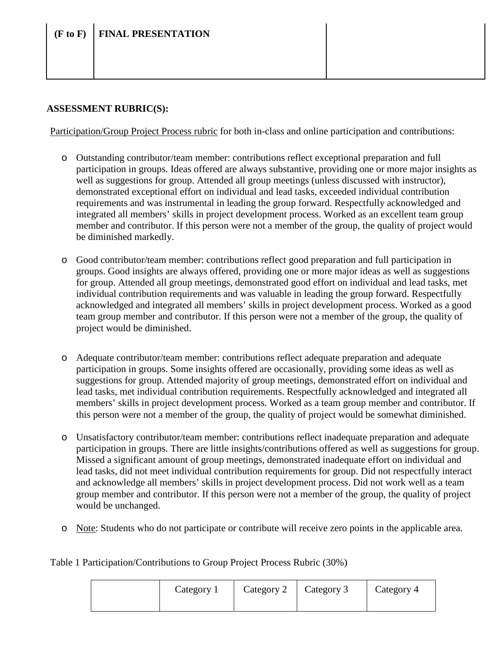# **(F to F) FINAL PRESENTATION**

# **ASSESSMENT RUBRIC(S):**

Participation/Group Project Process rubric for both in-class and online participation and contributions:

- o Outstanding contributor/team member: contributions reflect exceptional preparation and full participation in groups. Ideas offered are always substantive, providing one or more major insights as well as suggestions for group. Attended all group meetings (unless discussed with instructor), demonstrated exceptional effort on individual and lead tasks, exceeded individual contribution requirements and was instrumental in leading the group forward. Respectfully acknowledged and integrated all members' skills in project development process. Worked as an excellent team group member and contributor. If this person were not a member of the group, the quality of project would be diminished markedly.
- o Good contributor/team member: contributions reflect good preparation and full participation in groups. Good insights are always offered, providing one or more major ideas as well as suggestions for group. Attended all group meetings, demonstrated good effort on individual and lead tasks, met individual contribution requirements and was valuable in leading the group forward. Respectfully acknowledged and integrated all members' skills in project development process. Worked as a good team group member and contributor. If this person were not a member of the group, the quality of project would be diminished.
- o Adequate contributor/team member: contributions reflect adequate preparation and adequate participation in groups. Some insights offered are occasionally, providing some ideas as well as suggestions for group. Attended majority of group meetings, demonstrated effort on individual and lead tasks, met individual contribution requirements. Respectfully acknowledged and integrated all members' skills in project development process. Worked as a team group member and contributor. If this person were not a member of the group, the quality of project would be somewhat diminished.
- o Unsatisfactory contributor/team member: contributions reflect inadequate preparation and adequate participation in groups. There are little insights/contributions offered as well as suggestions for group. Missed a significant amount of group meetings, demonstrated inadequate effort on individual and lead tasks, did not meet individual contribution requirements for group. Did not respectfully interact and acknowledge all members' skills in project development process. Did not work well as a team group member and contributor. If this person were not a member of the group, the quality of project would be unchanged.
- o Note: Students who do not participate or contribute will receive zero points in the applicable area.

Table 1 Participation/Contributions to Group Project Process Rubric (30%)

| Category 1 | Category 2   Category 3 | Category 4 |
|------------|-------------------------|------------|
|            |                         |            |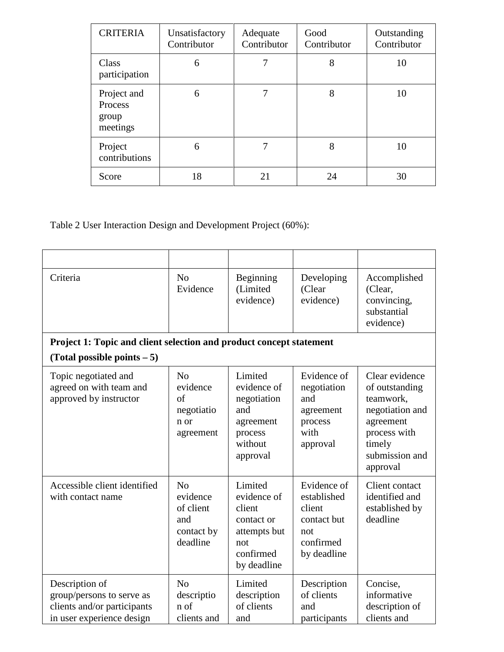| <b>CRITERIA</b>                             | Unsatisfactory<br>Contributor | Adequate<br>Contributor | Good<br>Contributor | Outstanding<br>Contributor |
|---------------------------------------------|-------------------------------|-------------------------|---------------------|----------------------------|
| Class<br>participation                      | 6                             |                         | 8                   | 10                         |
| Project and<br>Process<br>group<br>meetings | 6                             | 7                       | 8                   | 10                         |
| Project<br>contributions                    | 6                             | 7                       | 8                   | 10                         |
| Score                                       | 18                            | 21                      | 24                  | 30                         |

Table 2 User Interaction Design and Development Project (60%):

| Criteria                                                                                                | N <sub>o</sub><br>Evidence                                               | Beginning<br>(Limited<br>evidence)                                                                | Developing<br>(Clear<br>evidence)                                                      | Accomplished<br>(Clear,<br>convincing,<br>substantial<br>evidence)                                                                    |
|---------------------------------------------------------------------------------------------------------|--------------------------------------------------------------------------|---------------------------------------------------------------------------------------------------|----------------------------------------------------------------------------------------|---------------------------------------------------------------------------------------------------------------------------------------|
| Project 1: Topic and client selection and product concept statement<br>(Total possible points $-5$ )    |                                                                          |                                                                                                   |                                                                                        |                                                                                                                                       |
| Topic negotiated and<br>agreed on with team and<br>approved by instructor                               | N <sub>0</sub><br>evidence<br>of<br>negotiatio<br>n or<br>agreement      | Limited<br>evidence of<br>negotiation<br>and<br>agreement<br>process<br>without<br>approval       | Evidence of<br>negotiation<br>and<br>agreement<br>process<br>with<br>approval          | Clear evidence<br>of outstanding<br>teamwork,<br>negotiation and<br>agreement<br>process with<br>timely<br>submission and<br>approval |
| Accessible client identified<br>with contact name                                                       | N <sub>0</sub><br>evidence<br>of client<br>and<br>contact by<br>deadline | Limited<br>evidence of<br>client<br>contact or<br>attempts but<br>not<br>confirmed<br>by deadline | Evidence of<br>established<br>client<br>contact but<br>not<br>confirmed<br>by deadline | <b>Client contact</b><br>identified and<br>established by<br>deadline                                                                 |
| Description of<br>group/persons to serve as<br>clients and/or participants<br>in user experience design | N <sub>o</sub><br>descriptio<br>n of<br>clients and                      | Limited<br>description<br>of clients<br>and                                                       | Description<br>of clients<br>and<br>participants                                       | Concise,<br>informative<br>description of<br>clients and                                                                              |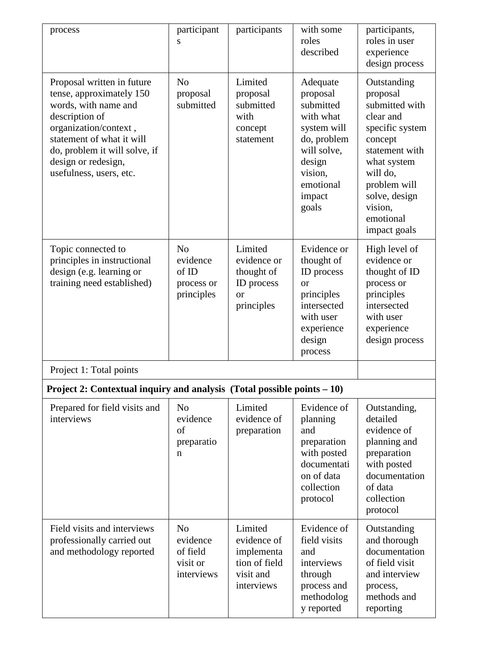| process                                                                                                                                                                                                                                   | participant<br>S                                                 | participants                                                                     | with some<br>roles<br>described                                                                                                                  | participants,<br>roles in user<br>experience<br>design process                                                                                                                                             |
|-------------------------------------------------------------------------------------------------------------------------------------------------------------------------------------------------------------------------------------------|------------------------------------------------------------------|----------------------------------------------------------------------------------|--------------------------------------------------------------------------------------------------------------------------------------------------|------------------------------------------------------------------------------------------------------------------------------------------------------------------------------------------------------------|
| Proposal written in future<br>tense, approximately 150<br>words, with name and<br>description of<br>organization/context,<br>statement of what it will<br>do, problem it will solve, if<br>design or redesign,<br>usefulness, users, etc. | N <sub>o</sub><br>proposal<br>submitted                          | Limited<br>proposal<br>submitted<br>with<br>concept<br>statement                 | Adequate<br>proposal<br>submitted<br>with what<br>system will<br>do, problem<br>will solve,<br>design<br>vision,<br>emotional<br>impact<br>goals | Outstanding<br>proposal<br>submitted with<br>clear and<br>specific system<br>concept<br>statement with<br>what system<br>will do,<br>problem will<br>solve, design<br>vision,<br>emotional<br>impact goals |
| Topic connected to<br>principles in instructional<br>design (e.g. learning or<br>training need established)                                                                                                                               | N <sub>o</sub><br>evidence<br>of ID<br>process or<br>principles  | Limited<br>evidence or<br>thought of<br>ID process<br><b>or</b><br>principles    | Evidence or<br>thought of<br>ID process<br><sub>or</sub><br>principles<br>intersected<br>with user<br>experience<br>design<br>process            | High level of<br>evidence or<br>thought of ID<br>process or<br>principles<br>intersected<br>with user<br>experience<br>design process                                                                      |
| Project 1: Total points                                                                                                                                                                                                                   |                                                                  |                                                                                  |                                                                                                                                                  |                                                                                                                                                                                                            |
| Project 2: Contextual inquiry and analysis (Total possible points $-10$ )                                                                                                                                                                 |                                                                  |                                                                                  |                                                                                                                                                  |                                                                                                                                                                                                            |
| Prepared for field visits and<br>interviews                                                                                                                                                                                               | N <sub>o</sub><br>evidence<br>of<br>preparatio<br>n              | Limited<br>evidence of<br>preparation                                            | Evidence of<br>planning<br>and<br>preparation<br>with posted<br>documentati<br>on of data<br>collection<br>protocol                              | Outstanding,<br>detailed<br>evidence of<br>planning and<br>preparation<br>with posted<br>documentation<br>of data<br>collection<br>protocol                                                                |
| Field visits and interviews<br>professionally carried out<br>and methodology reported                                                                                                                                                     | N <sub>o</sub><br>evidence<br>of field<br>visit or<br>interviews | Limited<br>evidence of<br>implementa<br>tion of field<br>visit and<br>interviews | Evidence of<br>field visits<br>and<br>interviews<br>through<br>process and<br>methodolog<br>y reported                                           | Outstanding<br>and thorough<br>documentation<br>of field visit<br>and interview<br>process,<br>methods and<br>reporting                                                                                    |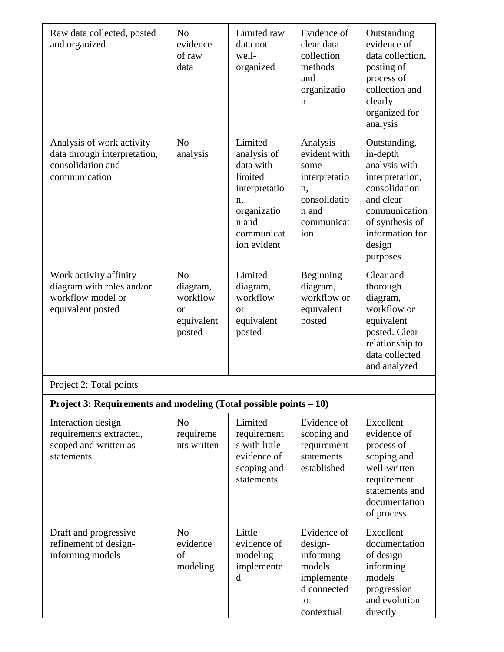| Raw data collected, posted<br>and organized                                                     | N <sub>o</sub><br>evidence<br>of raw<br>data                                    | Limited raw<br>data not<br>well-<br>organized                                                                              | Evidence of<br>clear data<br>collection<br>methods<br>and<br>organizatio<br>$\mathbf n$               | Outstanding<br>evidence of<br>data collection,<br>posting of<br>process of<br>collection and<br>clearly<br>organized for<br>analysis                                    |
|-------------------------------------------------------------------------------------------------|---------------------------------------------------------------------------------|----------------------------------------------------------------------------------------------------------------------------|-------------------------------------------------------------------------------------------------------|-------------------------------------------------------------------------------------------------------------------------------------------------------------------------|
| Analysis of work activity<br>data through interpretation,<br>consolidation and<br>communication | N <sub>o</sub><br>analysis                                                      | Limited<br>analysis of<br>data with<br>limited<br>interpretatio<br>n,<br>organizatio<br>n and<br>communicat<br>ion evident | Analysis<br>evident with<br>some<br>interpretatio<br>n,<br>consolidatio<br>n and<br>communicat<br>ion | Outstanding,<br>in-depth<br>analysis with<br>interpretation,<br>consolidation<br>and clear<br>communication<br>of synthesis of<br>information for<br>design<br>purposes |
| Work activity affinity<br>diagram with roles and/or<br>workflow model or<br>equivalent posted   | N <sub>0</sub><br>diagram,<br>workflow<br><sub>or</sub><br>equivalent<br>posted | Limited<br>diagram,<br>workflow<br><sub>or</sub><br>equivalent<br>posted                                                   | Beginning<br>diagram,<br>workflow or<br>equivalent<br>posted                                          | Clear and<br>thorough<br>diagram,<br>workflow or<br>equivalent<br>posted. Clear<br>relationship to<br>data collected<br>and analyzed                                    |
| Project 2: Total points                                                                         |                                                                                 |                                                                                                                            |                                                                                                       |                                                                                                                                                                         |
| Project 3: Requirements and modeling (Total possible points – 10)                               |                                                                                 |                                                                                                                            |                                                                                                       |                                                                                                                                                                         |
| Interaction design<br>requirements extracted,<br>scoped and written as<br>statements            | N <sub>o</sub><br>requireme<br>nts written                                      | Limited<br>requirement<br>s with little<br>evidence of<br>scoping and<br>statements                                        | Evidence of<br>scoping and<br>requirement<br>statements<br>established                                | Excellent<br>evidence of<br>process of<br>scoping and<br>well-written<br>requirement<br>statements and<br>documentation<br>of process                                   |
| Draft and progressive<br>refinement of design-<br>informing models                              | N <sub>o</sub><br>evidence<br>of<br>modeling                                    | Little<br>evidence of<br>modeling<br>implemente<br>d                                                                       | Evidence of<br>design-<br>informing<br>models<br>implemente<br>d connected<br>to<br>contextual        | Excellent<br>documentation<br>of design<br>informing<br>models<br>progression<br>and evolution<br>directly                                                              |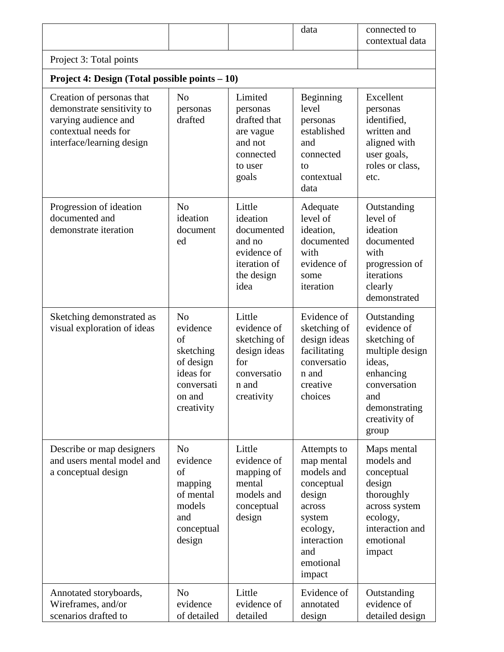|                                                                                                                                      |                                                                                                               |                                                                                                    | data                                                                                                                                         | connected to<br>contextual data                                                                                                                        |
|--------------------------------------------------------------------------------------------------------------------------------------|---------------------------------------------------------------------------------------------------------------|----------------------------------------------------------------------------------------------------|----------------------------------------------------------------------------------------------------------------------------------------------|--------------------------------------------------------------------------------------------------------------------------------------------------------|
| Project 3: Total points                                                                                                              |                                                                                                               |                                                                                                    |                                                                                                                                              |                                                                                                                                                        |
| <b>Project 4: Design (Total possible points <math>-10</math>)</b>                                                                    |                                                                                                               |                                                                                                    |                                                                                                                                              |                                                                                                                                                        |
| Creation of personas that<br>demonstrate sensitivity to<br>varying audience and<br>contextual needs for<br>interface/learning design | N <sub>0</sub><br>personas<br>drafted                                                                         | Limited<br>personas<br>drafted that<br>are vague<br>and not<br>connected<br>to user<br>goals       | Beginning<br>level<br>personas<br>established<br>and<br>connected<br>to<br>contextual<br>data                                                | Excellent<br>personas<br>identified,<br>written and<br>aligned with<br>user goals,<br>roles or class,<br>etc.                                          |
| Progression of ideation<br>documented and<br>demonstrate iteration                                                                   | N <sub>0</sub><br>ideation<br>document<br>ed                                                                  | Little<br>ideation<br>documented<br>and no<br>evidence of<br>iteration of<br>the design<br>idea    | Adequate<br>level of<br>ideation,<br>documented<br>with<br>evidence of<br>some<br>iteration                                                  | Outstanding<br>level of<br>ideation<br>documented<br>with<br>progression of<br>iterations<br>clearly<br>demonstrated                                   |
| Sketching demonstrated as<br>visual exploration of ideas                                                                             | N <sub>0</sub><br>evidence<br>of<br>sketching<br>of design<br>ideas for<br>conversati<br>on and<br>creativity | Little<br>evidence of<br>sketching of<br>design ideas<br>for<br>conversatio<br>n and<br>creativity | Evidence of<br>sketching of<br>design ideas<br>facilitating<br>conversatio<br>n and<br>creative<br>choices                                   | Outstanding<br>evidence of<br>sketching of<br>multiple design<br>ideas,<br>enhancing<br>conversation<br>and<br>demonstrating<br>creativity of<br>group |
| Describe or map designers<br>and users mental model and<br>a conceptual design                                                       | N <sub>0</sub><br>evidence<br>of<br>mapping<br>of mental<br>models<br>and<br>conceptual<br>design             | Little<br>evidence of<br>mapping of<br>mental<br>models and<br>conceptual<br>design                | Attempts to<br>map mental<br>models and<br>conceptual<br>design<br>across<br>system<br>ecology,<br>interaction<br>and<br>emotional<br>impact | Maps mental<br>models and<br>conceptual<br>design<br>thoroughly<br>across system<br>ecology,<br>interaction and<br>emotional<br>impact                 |
| Annotated storyboards,<br>Wireframes, and/or<br>scenarios drafted to                                                                 | N <sub>0</sub><br>evidence<br>of detailed                                                                     | Little<br>evidence of<br>detailed                                                                  | Evidence of<br>annotated<br>design                                                                                                           | Outstanding<br>evidence of<br>detailed design                                                                                                          |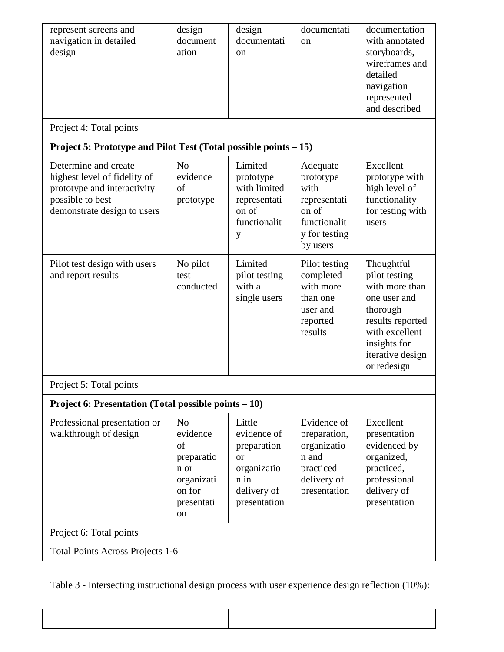| represent screens and<br>navigation in detailed<br>design                                                                              | design<br>document<br>ation                                                                        | design<br>documentati<br>on                                                                      | documentati<br><sub>on</sub>                                                                        | documentation<br>with annotated<br>storyboards,<br>wireframes and<br>detailed<br>navigation<br>represented<br>and described                                        |  |  |
|----------------------------------------------------------------------------------------------------------------------------------------|----------------------------------------------------------------------------------------------------|--------------------------------------------------------------------------------------------------|-----------------------------------------------------------------------------------------------------|--------------------------------------------------------------------------------------------------------------------------------------------------------------------|--|--|
| Project 4: Total points                                                                                                                |                                                                                                    |                                                                                                  |                                                                                                     |                                                                                                                                                                    |  |  |
| Project 5: Prototype and Pilot Test (Total possible points – 15)                                                                       |                                                                                                    |                                                                                                  |                                                                                                     |                                                                                                                                                                    |  |  |
| Determine and create<br>highest level of fidelity of<br>prototype and interactivity<br>possible to best<br>demonstrate design to users | No<br>evidence<br>of<br>prototype                                                                  | Limited<br>prototype<br>with limited<br>representati<br>on of<br>functionalit<br>у               | Adequate<br>prototype<br>with<br>representati<br>on of<br>functionalit<br>y for testing<br>by users | Excellent<br>prototype with<br>high level of<br>functionality<br>for testing with<br>users                                                                         |  |  |
| Pilot test design with users<br>and report results                                                                                     | No pilot<br>test<br>conducted                                                                      | Limited<br>pilot testing<br>with a<br>single users                                               | Pilot testing<br>completed<br>with more<br>than one<br>user and<br>reported<br>results              | Thoughtful<br>pilot testing<br>with more than<br>one user and<br>thorough<br>results reported<br>with excellent<br>insights for<br>iterative design<br>or redesign |  |  |
| Project 5: Total points                                                                                                                |                                                                                                    |                                                                                                  |                                                                                                     |                                                                                                                                                                    |  |  |
| Project 6: Presentation (Total possible points – 10)                                                                                   |                                                                                                    |                                                                                                  |                                                                                                     |                                                                                                                                                                    |  |  |
| Professional presentation or<br>walkthrough of design                                                                                  | N <sub>0</sub><br>evidence<br>of<br>preparatio<br>n or<br>organizati<br>on for<br>presentati<br>on | Little<br>evidence of<br>preparation<br>or<br>organizatio<br>n in<br>delivery of<br>presentation | Evidence of<br>preparation,<br>organizatio<br>n and<br>practiced<br>delivery of<br>presentation     | Excellent<br>presentation<br>evidenced by<br>organized,<br>practiced,<br>professional<br>delivery of<br>presentation                                               |  |  |
| Project 6: Total points                                                                                                                |                                                                                                    |                                                                                                  |                                                                                                     |                                                                                                                                                                    |  |  |
| <b>Total Points Across Projects 1-6</b>                                                                                                |                                                                                                    |                                                                                                  |                                                                                                     |                                                                                                                                                                    |  |  |

Table 3 - Intersecting instructional design process with user experience design reflection (10%):